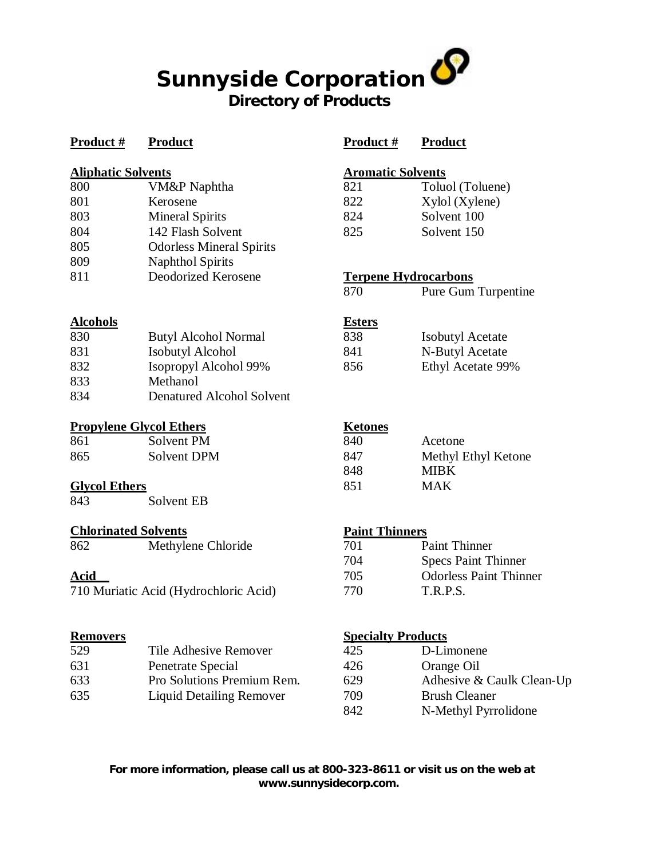# **Sunnyside Corporation Directory of Products**

| Product#                    | <b>Product</b>                        | Product#                    | <b>Product</b>                              |
|-----------------------------|---------------------------------------|-----------------------------|---------------------------------------------|
| <b>Aliphatic Solvents</b>   |                                       | <b>Aromatic Solvents</b>    |                                             |
| 800                         | VM&P Naphtha                          | 821                         | Toluol (Toluene)                            |
| 801                         | Kerosene                              | 822                         | Xylol (Xylene)                              |
| 803                         | <b>Mineral Spirits</b>                | 824                         | Solvent 100                                 |
| 804                         | 142 Flash Solvent                     | 825                         | Solvent 150                                 |
| 805                         | <b>Odorless Mineral Spirits</b>       |                             |                                             |
| 809                         | <b>Naphthol Spirits</b>               |                             |                                             |
| 811                         | Deodorized Kerosene                   | <b>Terpene Hydrocarbons</b> |                                             |
|                             |                                       | 870                         | Pure Gum Turpentine                         |
| <b>Alcohols</b>             |                                       | <b>Esters</b>               |                                             |
| 830                         | <b>Butyl Alcohol Normal</b>           | 838                         | <b>Isobutyl Acetate</b>                     |
| 831                         | <b>Isobutyl Alcohol</b>               | 841                         | N-Butyl Acetate                             |
| 832                         | Isopropyl Alcohol 99%                 | 856                         | Ethyl Acetate 99%                           |
| 833                         | Methanol                              |                             |                                             |
| 834                         | <b>Denatured Alcohol Solvent</b>      |                             |                                             |
|                             | <b>Propylene Glycol Ethers</b>        | <b>Ketones</b>              |                                             |
| 861                         | Solvent PM                            | 840                         | Acetone                                     |
| 865                         | <b>Solvent DPM</b>                    | 847                         | Methyl Ethyl Ketone                         |
|                             |                                       | 848                         | <b>MIBK</b>                                 |
| <b>Glvcol Ethers</b>        |                                       | 851                         | <b>MAK</b>                                  |
| 843                         | Solvent EB                            |                             |                                             |
| <b>Chlorinated Solvents</b> |                                       | <b>Paint Thinners</b>       |                                             |
| 862                         | Methylene Chloride                    | 701                         | <b>Paint Thinner</b>                        |
|                             |                                       | 704                         | <b>Specs Paint Thinner</b>                  |
| <b>Acid</b>                 |                                       | 705                         | <b>Odorless Paint Thinner</b>               |
|                             | 710 Muriatic Acid (Hydrochloric Acid) | 770                         | T.R.P.S.                                    |
| <b>Removers</b>             |                                       | <b>Specialty Products</b>   |                                             |
| 529                         | Tile Adhesive Remover                 | 425                         | D-Limonene                                  |
| $\sim$ 1                    | $\mathbf{D}_{\text{total}}$           | 40<                         | $\Omega_{\text{max}}$ $\Omega_{\text{max}}$ |

| 529 | The Adnesive Remover            | 42.5 | D-Limonene                |
|-----|---------------------------------|------|---------------------------|
| 631 | Penetrate Special               | 426  | Orange Oil                |
| 633 | Pro Solutions Premium Rem.      | 629  | Adhesive & Caulk Clean-Up |
| 635 | <b>Liquid Detailing Remover</b> | 709  | <b>Brush Cleaner</b>      |
|     |                                 |      |                           |

**For more information, please call us at 800-323-8611 or visit us on the web at [www.sunnysidecorp.com.](http://www.sunnysidecorp.com.)**

N-Methyl Pyrrolidone